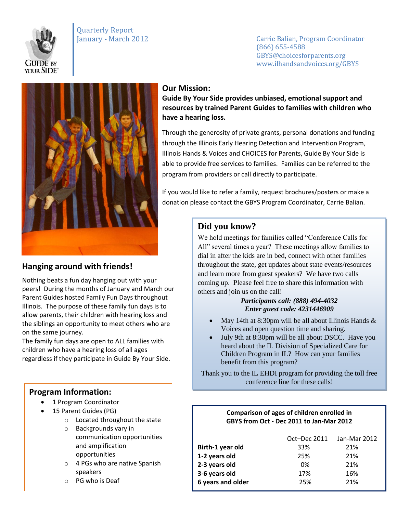

# Quarterly Report

January - March 2012 Carrie Balian, Program Coordinator (866) 655-4588 GBYS@choicesforparents.org www.ilhandsandvoices.org/GBYS



## **Hanging around with friends!**

Nothing beats a fun day hanging out with your peers! During the months of January and March our Parent Guides hosted Family Fun Days throughout Illinois. The purpose of these family fun days is to allow parents, their children with hearing loss and the siblings an opportunity to meet others who are on the same journey.

The family fun days are open to ALL families with children who have a hearing loss of all ages regardless if they participate in Guide By Your Side.

## **Program Information:**

- 1 Program Coordinator
- 15 Parent Guides (PG)
	- o Located throughout the state
	- o Backgrounds vary in communication opportunities and amplification opportunities
	- o 4 PGs who are native Spanish speakers
	- o PG who is Deaf

### **Our Mission:**

**Guide By Your Side provides unbiased, emotional support and resources by trained Parent Guides to families with children who have a hearing loss.** 

Through the generosity of private grants, personal donations and funding through the Illinois Early Hearing Detection and Intervention Program, Illinois Hands & Voices and CHOICES for Parents, Guide By Your Side is able to provide free services to families. Families can be referred to the program from providers or call directly to participate.

If you would like to refer a family, request brochures/posters or make a donation please contact the GBYS Program Coordinator, Carrie Balian.

## **Did you know?**

We hold meetings for families called "Conference Calls for All" several times a year? These meetings allow families to dial in after the kids are in bed, connect with other families throughout the state, get updates about state events/resources and learn more from guest speakers? We have two calls coming up. Please feel free to share this information with others and join us on the call!

#### *Participants call: (888) 494-4032 Enter guest code: 4231446909*

- May 14th at 8:30pm will be all about Illinois Hands  $&$ Voices and open question time and sharing.
- July 9th at 8:30pm will be all about DSCC. Have you heard about the IL Division of Specialized Care for Children Program in IL? How can your families benefit from this program?

Thank you to the IL EHDI program for providing the toll free conference line for these calls!

#### **Comparison of ages of children enrolled in GBYS from Oct - Dec 2011 to Jan-Mar 2012**

|     | Jan-Mar 2012 |
|-----|--------------|
| 33% | 21%          |
| 25% | 21%          |
| 0%  | 21%          |
| 17% | 16%          |
| 25% | 21%          |
|     | Oct-Dec 2011 |